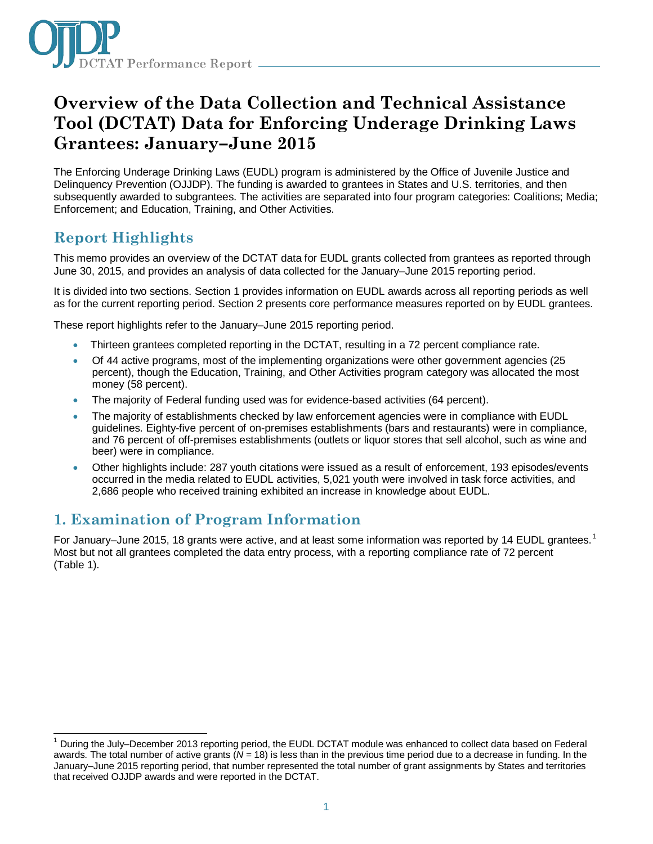

# **Overview of the Data Collection and Technical Assistance Tool (DCTAT) Data for Enforcing Underage Drinking Laws Grantees: January–June 2015**

The Enforcing Underage Drinking Laws (EUDL) program is administered by the Office of Juvenile Justice and Delinquency Prevention (OJJDP). The funding is awarded to grantees in States and U.S. territories, and then subsequently awarded to subgrantees. The activities are separated into four program categories: Coalitions; Media; Enforcement; and Education, Training, and Other Activities.

## **Report Highlights**

This memo provides an overview of the DCTAT data for EUDL grants collected from grantees as reported through June 30, 2015, and provides an analysis of data collected for the January–June 2015 reporting period.

It is divided into two sections. Section 1 provides information on EUDL awards across all reporting periods as well as for the current reporting period. Section 2 presents core performance measures reported on by EUDL grantees.

These report highlights refer to the January–June 2015 reporting period.

- Thirteen grantees completed reporting in the DCTAT, resulting in a 72 percent compliance rate.
- Of 44 active programs, most of the implementing organizations were other government agencies (25 percent), though the Education, Training, and Other Activities program category was allocated the most money (58 percent).
- The majority of Federal funding used was for evidence-based activities (64 percent).
- The majority of establishments checked by law enforcement agencies were in compliance with EUDL guidelines. Eighty-five percent of on-premises establishments (bars and restaurants) were in compliance, and 76 percent of off-premises establishments (outlets or liquor stores that sell alcohol, such as wine and beer) were in compliance.
- Other highlights include: 287 youth citations were issued as a result of enforcement, 193 episodes/events occurred in the media related to EUDL activities, 5,021 youth were involved in task force activities, and 2,686 people who received training exhibited an increase in knowledge about EUDL.

### **1. Examination of Program Information**

For January–June 20[1](#page-0-0)5, 18 grants were active, and at least some information was reported by 14 EUDL grantees.<sup>1</sup> Most but not all grantees completed the data entry process, with a reporting compliance rate of 72 percent (Table 1).

<span id="page-0-0"></span> $1$  During the July–December 2013 reporting period, the EUDL DCTAT module was enhanced to collect data based on Federal awards. The total number of active grants (*N =* 18) is less than in the previous time period due to a decrease in funding. In the January–June 2015 reporting period, that number represented the total number of grant assignments by States and territories that received OJJDP awards and were reported in the DCTAT.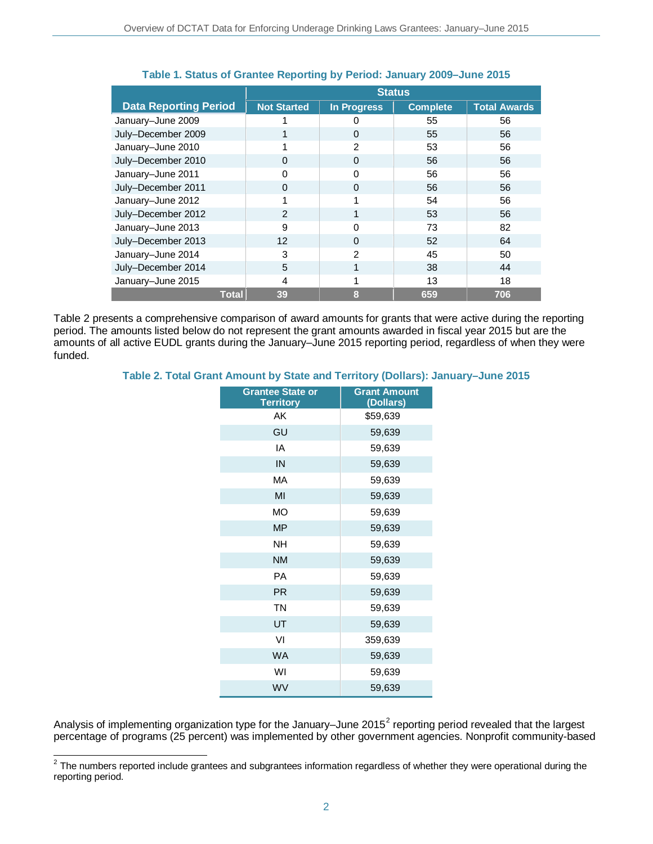|                              | <b>Status</b>      |                    |                 |                     |
|------------------------------|--------------------|--------------------|-----------------|---------------------|
| <b>Data Reporting Period</b> | <b>Not Started</b> | <b>In Progress</b> | <b>Complete</b> | <b>Total Awards</b> |
| January-June 2009            |                    |                    | 55              | 56                  |
| July-December 2009           |                    | $\Omega$           | 55              | 56                  |
| January-June 2010            |                    | 2                  | 53              | 56                  |
| July-December 2010           | 0                  | $\Omega$           | 56              | 56                  |
| January-June 2011            | 0                  | $\Omega$           | 56              | 56                  |
| July-December 2011           | Ω                  | 0                  | 56              | 56                  |
| January-June 2012            |                    |                    | 54              | 56                  |
| July-December 2012           | $\mathcal{P}$      |                    | 53              | 56                  |
| January-June 2013            | 9                  |                    | 73              | 82                  |
| July-December 2013           | 12                 | $\Omega$           | 52              | 64                  |
| January-June 2014            | 3                  | 2                  | 45              | 50                  |
| July-December 2014           | 5                  |                    | 38              | 44                  |
| January-June 2015            | 4                  |                    | 13              | 18                  |
| <b>Total</b>                 | 39                 | 8                  | 659             | 706                 |

### **Table 1. Status of Grantee Reporting by Period: January 2009–June 2015**

Table 2 presents a comprehensive comparison of award amounts for grants that were active during the reporting period. The amounts listed below do not represent the grant amounts awarded in fiscal year 2015 but are the amounts of all active EUDL grants during the January–June 2015 reporting period, regardless of when they were funded.

### **Table 2. Total Grant Amount by State and Territory (Dollars): January–June 2015**

| <b>Grantee State or</b><br><b>Territory</b> | <b>Grant Amount</b><br>(Dollars) |
|---------------------------------------------|----------------------------------|
| AK                                          | \$59,639                         |
| GU                                          | 59,639                           |
| ΙA                                          | 59,639                           |
| IN                                          | 59,639                           |
| MA                                          | 59,639                           |
| MI                                          | 59,639                           |
| <b>MO</b>                                   | 59,639                           |
| <b>MP</b>                                   | 59,639                           |
| <b>NH</b>                                   | 59,639                           |
| <b>NM</b>                                   | 59,639                           |
| <b>PA</b>                                   | 59,639                           |
| <b>PR</b>                                   | 59,639                           |
| <b>TN</b>                                   | 59,639                           |
| UT                                          | 59,639                           |
| VI                                          | 359,639                          |
| <b>WA</b>                                   | 59,639                           |
| WI                                          | 59,639                           |
| WV                                          | 59,639                           |

Analysis of implementing organization type for the January–June [2](#page-1-0)015<sup>2</sup> reporting period revealed that the largest percentage of programs (25 percent) was implemented by other government agencies. Nonprofit community-based

<span id="page-1-0"></span> $2$  The numbers reported include grantees and subgrantees information regardless of whether they were operational during the reporting period.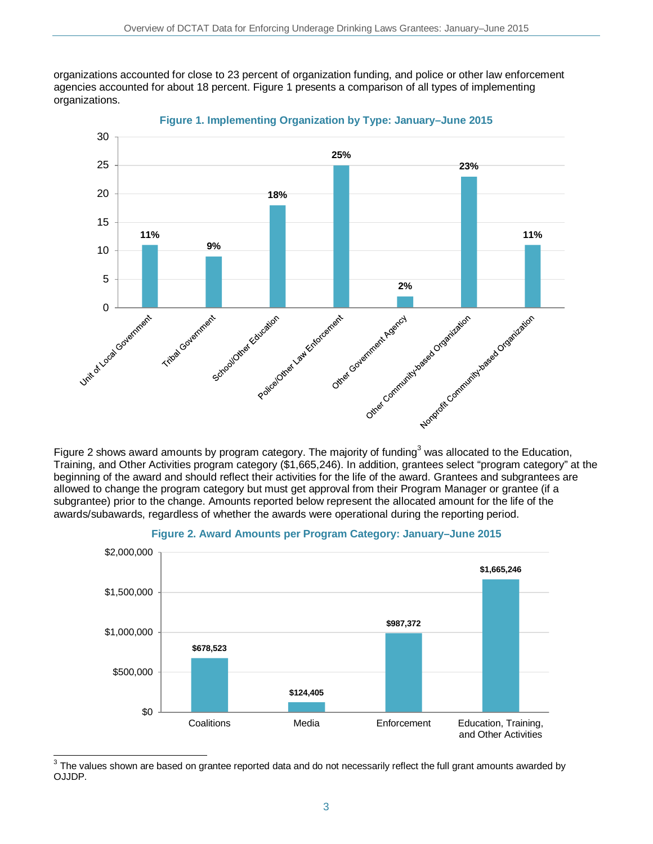organizations accounted for close to 23 percent of organization funding, and police or other law enforcement agencies accounted for about 18 percent. Figure 1 presents a comparison of all types of implementing organizations.



**Figure 1. Implementing Organization by Type: January–June 2015**

Figure 2 shows award amounts by program category. The majority of funding<sup>[3](#page-2-0)</sup> was allocated to the Education, Training, and Other Activities program category (\$1,665,246). In addition, grantees select "program category" at the beginning of the award and should reflect their activities for the life of the award. Grantees and subgrantees are allowed to change the program category but must get approval from their Program Manager or grantee (if a subgrantee) prior to the change. Amounts reported below represent the allocated amount for the life of the awards/subawards, regardless of whether the awards were operational during the reporting period.





<span id="page-2-0"></span> $\overline{a}$ The values shown are based on grantee reported data and do not necessarily reflect the full grant amounts awarded by OJJDP.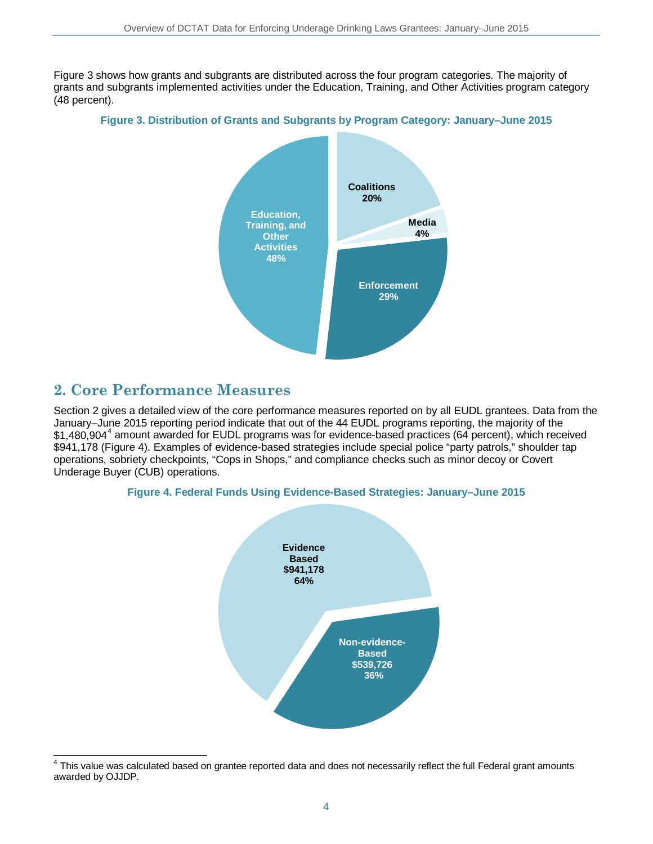Figure 3 shows how grants and subgrants are distributed across the four program categories. The majority of grants and subgrants implemented activities under the Education, Training, and Other Activities program category (48 percent).

### **Figure 3. Distribution of Grants and Subgrants by Program Category: January–June 2015**



### **2. Core Performance Measures**

Section 2 gives a detailed view of the core performance measures reported on by all EUDL grantees. Data from the January–June 2015 reporting period indicate that out of the 44 EUDL programs reporting, the majority of the \$1,[4](#page-3-0)80,904<sup>4</sup> amount awarded for EUDL programs was for evidence-based practices (64 percent), which received \$941,178 (Figure 4). Examples of evidence-based strategies include special police "party patrols," shoulder tap operations, sobriety checkpoints, "Cops in Shops," and compliance checks such as minor decoy or Covert Underage Buyer (CUB) operations.





<span id="page-3-0"></span> $\overline{\phantom{a}}$ This value was calculated based on grantee reported data and does not necessarily reflect the full Federal grant amounts awarded by OJJDP.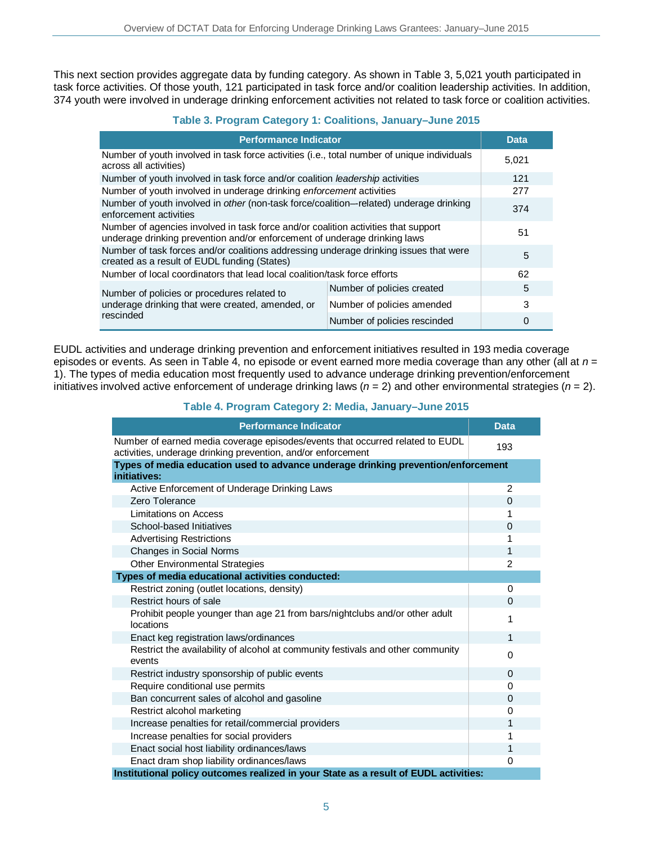This next section provides aggregate data by funding category. As shown in Table 3, 5,021 youth participated in task force activities. Of those youth, 121 participated in task force and/or coalition leadership activities. In addition, 374 youth were involved in underage drinking enforcement activities not related to task force or coalition activities.

### **Table 3. Program Category 1: Coalitions, January–June 2015**

| <b>Performance Indicator</b>                                                                                                                                    |                              | Data  |
|-----------------------------------------------------------------------------------------------------------------------------------------------------------------|------------------------------|-------|
| Number of youth involved in task force activities (i.e., total number of unique individuals<br>across all activities)                                           |                              | 5,021 |
| Number of youth involved in task force and/or coalition leadership activities                                                                                   |                              | 121   |
| Number of youth involved in underage drinking enforcement activities                                                                                            |                              | 277   |
| Number of youth involved in other (non-task force/coalition—related) underage drinking<br>enforcement activities                                                |                              | 374   |
| Number of agencies involved in task force and/or coalition activities that support<br>underage drinking prevention and/or enforcement of underage drinking laws |                              | 51    |
| Number of task forces and/or coalitions addressing underage drinking issues that were<br>created as a result of EUDL funding (States)                           |                              | 5     |
| Number of local coordinators that lead local coalition/task force efforts                                                                                       |                              | 62    |
| Number of policies or procedures related to<br>underage drinking that were created, amended, or<br>rescinded                                                    | Number of policies created   | 5     |
|                                                                                                                                                                 | Number of policies amended   | 3     |
|                                                                                                                                                                 | Number of policies rescinded | 0     |

EUDL activities and underage drinking prevention and enforcement initiatives resulted in 193 media coverage episodes or events. As seen in Table 4, no episode or event earned more media coverage than any other (all at *n* = 1). The types of media education most frequently used to advance underage drinking prevention/enforcement initiatives involved active enforcement of underage drinking laws (*n* = 2) and other environmental strategies (*n* = 2).

### **Table 4. Program Category 2: Media, January–June 2015**

| <b>Performance Indicator</b>                                                                                                                  | <b>Data</b>    |
|-----------------------------------------------------------------------------------------------------------------------------------------------|----------------|
| Number of earned media coverage episodes/events that occurred related to EUDL<br>activities, underage drinking prevention, and/or enforcement | 193            |
| Types of media education used to advance underage drinking prevention/enforcement<br>initiatives:                                             |                |
| Active Enforcement of Underage Drinking Laws                                                                                                  | 2              |
| Zero Tolerance                                                                                                                                | $\Omega$       |
| Limitations on Access                                                                                                                         |                |
| School-based Initiatives                                                                                                                      | $\Omega$       |
| <b>Advertising Restrictions</b>                                                                                                               | 1              |
| Changes in Social Norms                                                                                                                       | 1              |
| <b>Other Environmental Strategies</b>                                                                                                         | $\overline{2}$ |
| Types of media educational activities conducted:                                                                                              |                |
| Restrict zoning (outlet locations, density)                                                                                                   | $\Omega$       |
| Restrict hours of sale                                                                                                                        | $\Omega$       |
| Prohibit people younger than age 21 from bars/nightclubs and/or other adult<br>locations                                                      | 1              |
| Enact keg registration laws/ordinances                                                                                                        | 1              |
| Restrict the availability of alcohol at community festivals and other community<br>events                                                     | 0              |
| Restrict industry sponsorship of public events                                                                                                | $\Omega$       |
| Require conditional use permits                                                                                                               | $\Omega$       |
| Ban concurrent sales of alcohol and gasoline                                                                                                  | $\Omega$       |
| Restrict alcohol marketing                                                                                                                    | 0              |
| Increase penalties for retail/commercial providers                                                                                            | 1              |
| Increase penalties for social providers                                                                                                       | 1              |
| Enact social host liability ordinances/laws                                                                                                   | 1              |
| Enact dram shop liability ordinances/laws                                                                                                     | 0              |
| Institutional policy outcomes realized in your State as a result of EUDL activities:                                                          |                |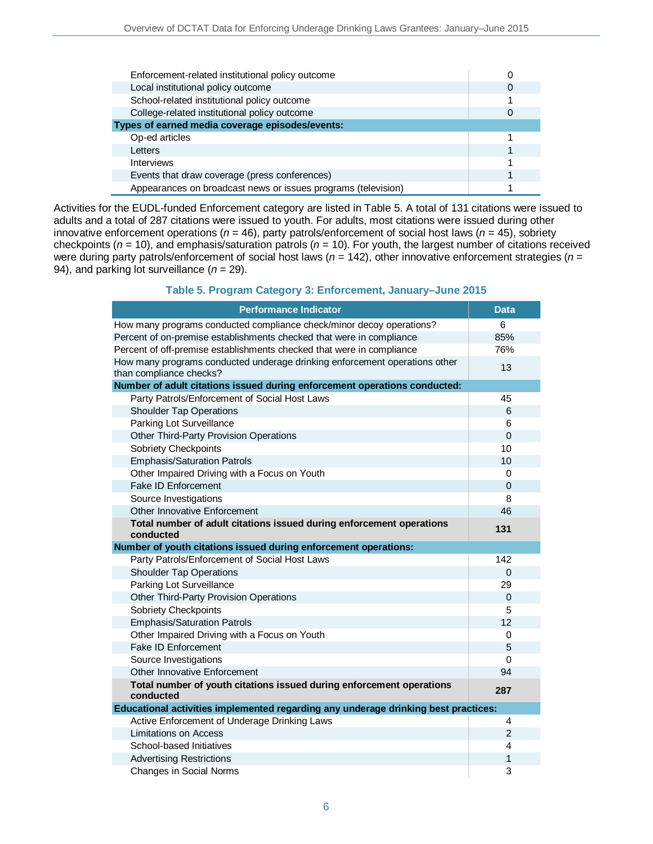| Enforcement-related institutional policy outcome              |  |
|---------------------------------------------------------------|--|
| Local institutional policy outcome                            |  |
| School-related institutional policy outcome                   |  |
| College-related institutional policy outcome                  |  |
| Types of earned media coverage episodes/events:               |  |
| Op-ed articles                                                |  |
| Letters                                                       |  |
| <b>Interviews</b>                                             |  |
| Events that draw coverage (press conferences)                 |  |
| Appearances on broadcast news or issues programs (television) |  |

Activities for the EUDL-funded Enforcement category are listed in Table 5. A total of 131 citations were issued to adults and a total of 287 citations were issued to youth. For adults, most citations were issued during other innovative enforcement operations (*n =* 46), party patrols/enforcement of social host laws (*n* = 45), sobriety checkpoints (*n =* 10), and emphasis/saturation patrols (*n* = 10). For youth, the largest number of citations received were during party patrols/enforcement of social host laws (*n* = 142), other innovative enforcement strategies (*n* = 94), and parking lot surveillance (*n* = 29).

### **Table 5. Program Category 3: Enforcement, January–June 2015**

| <b>Performance Indicator</b>                                                                          | <b>Data</b>   |
|-------------------------------------------------------------------------------------------------------|---------------|
| How many programs conducted compliance check/minor decoy operations?                                  | 6             |
| Percent of on-premise establishments checked that were in compliance                                  | 85%           |
| Percent of off-premise establishments checked that were in compliance                                 | 76%           |
| How many programs conducted underage drinking enforcement operations other<br>than compliance checks? | 13            |
| Number of adult citations issued during enforcement operations conducted:                             |               |
| Party Patrols/Enforcement of Social Host Laws                                                         | 45            |
| <b>Shoulder Tap Operations</b>                                                                        | 6             |
| Parking Lot Surveillance                                                                              | 6             |
| Other Third-Party Provision Operations                                                                | $\Omega$      |
| Sobriety Checkpoints                                                                                  | 10            |
| <b>Emphasis/Saturation Patrols</b>                                                                    | 10            |
| Other Impaired Driving with a Focus on Youth                                                          | 0             |
| <b>Fake ID Enforcement</b>                                                                            | $\Omega$      |
| Source Investigations                                                                                 | 8             |
| Other Innovative Enforcement                                                                          | 46            |
| Total number of adult citations issued during enforcement operations<br>conducted                     | 131           |
| Number of youth citations issued during enforcement operations:                                       |               |
| Party Patrols/Enforcement of Social Host Laws                                                         | 142           |
| <b>Shoulder Tap Operations</b>                                                                        | $\Omega$      |
| Parking Lot Surveillance                                                                              | 29            |
| Other Third-Party Provision Operations                                                                | $\mathbf 0$   |
| Sobriety Checkpoints                                                                                  | 5             |
| <b>Emphasis/Saturation Patrols</b>                                                                    | 12            |
| Other Impaired Driving with a Focus on Youth                                                          | 0             |
| Fake ID Enforcement                                                                                   | 5             |
| Source Investigations                                                                                 | 0             |
| Other Innovative Enforcement                                                                          | 94            |
| Total number of youth citations issued during enforcement operations<br>conducted                     | 287           |
| Educational activities implemented regarding any underage drinking best practices:                    |               |
| Active Enforcement of Underage Drinking Laws                                                          | 4             |
| <b>Limitations on Access</b>                                                                          | $\mathcal{P}$ |
| School-based Initiatives                                                                              | 4             |
| <b>Advertising Restrictions</b>                                                                       | 1             |
| Changes in Social Norms                                                                               | 3             |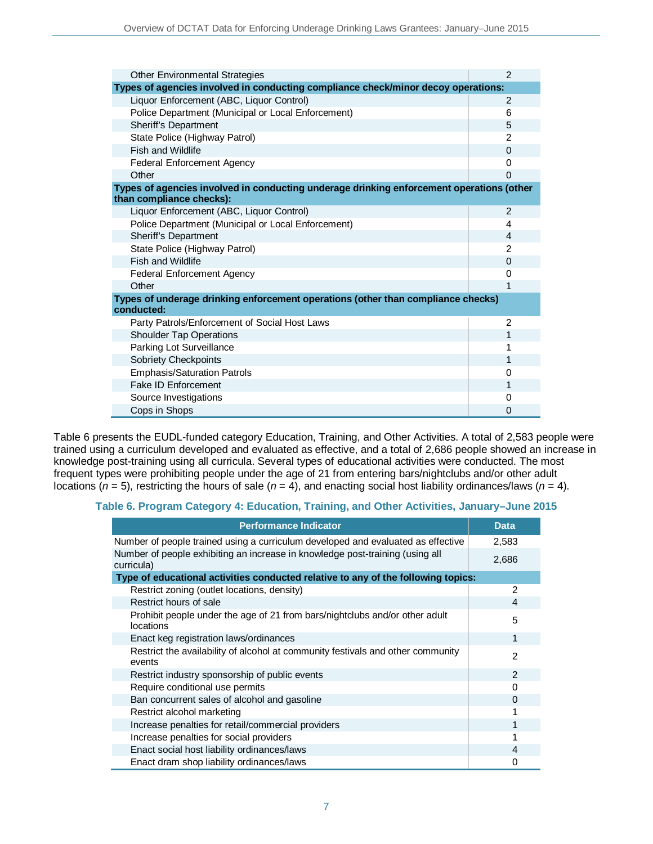| Other Environmental Strategies                                                                                       | $\mathcal{P}$  |  |
|----------------------------------------------------------------------------------------------------------------------|----------------|--|
| Types of agencies involved in conducting compliance check/minor decoy operations:                                    |                |  |
| Liquor Enforcement (ABC, Liquor Control)                                                                             | 2              |  |
| Police Department (Municipal or Local Enforcement)                                                                   | 6              |  |
| Sheriff's Department                                                                                                 | 5              |  |
| State Police (Highway Patrol)                                                                                        | $\mathfrak{p}$ |  |
| <b>Fish and Wildlife</b>                                                                                             | $\Omega$       |  |
| <b>Federal Enforcement Agency</b>                                                                                    | 0              |  |
| Other                                                                                                                | 0              |  |
| Types of agencies involved in conducting underage drinking enforcement operations (other<br>than compliance checks): |                |  |
| Liquor Enforcement (ABC, Liquor Control)                                                                             | $\mathcal{P}$  |  |
| Police Department (Municipal or Local Enforcement)                                                                   | 4              |  |
| Sheriff's Department                                                                                                 | 4              |  |
| State Police (Highway Patrol)                                                                                        | $\mathfrak{p}$ |  |
| <b>Fish and Wildlife</b>                                                                                             | $\Omega$       |  |
| <b>Federal Enforcement Agency</b>                                                                                    | 0              |  |
| Other                                                                                                                | 1              |  |
| Types of underage drinking enforcement operations (other than compliance checks)<br>conducted:                       |                |  |
| Party Patrols/Enforcement of Social Host Laws                                                                        | $\overline{2}$ |  |
| <b>Shoulder Tap Operations</b>                                                                                       | 1              |  |
| Parking Lot Surveillance                                                                                             | 1              |  |
| Sobriety Checkpoints                                                                                                 | 1              |  |
| <b>Emphasis/Saturation Patrols</b>                                                                                   | 0              |  |
| <b>Fake ID Enforcement</b>                                                                                           | 1              |  |
| Source Investigations                                                                                                | 0              |  |
| Cops in Shops                                                                                                        | 0              |  |

Table 6 presents the EUDL-funded category Education, Training, and Other Activities. A total of 2,583 people were trained using a curriculum developed and evaluated as effective, and a total of 2,686 people showed an increase in knowledge post-training using all curricula. Several types of educational activities were conducted. The most frequent types were prohibiting people under the age of 21 from entering bars/nightclubs and/or other adult locations (*n* = 5), restricting the hours of sale (*n* = 4), and enacting social host liability ordinances/laws (*n* = 4).

#### **Table 6. Program Category 4: Education, Training, and Other Activities, January–June 2015**

| <b>Performance Indicator</b>                                                                | <b>Data</b>   |
|---------------------------------------------------------------------------------------------|---------------|
| Number of people trained using a curriculum developed and evaluated as effective            | 2,583         |
| Number of people exhibiting an increase in knowledge post-training (using all<br>curricula) | 2,686         |
| Type of educational activities conducted relative to any of the following topics:           |               |
| Restrict zoning (outlet locations, density)                                                 | 2             |
| Restrict hours of sale                                                                      | $\Delta$      |
| Prohibit people under the age of 21 from bars/nightclubs and/or other adult<br>locations    | 5             |
| Enact keg registration laws/ordinances                                                      | 1             |
| Restrict the availability of alcohol at community festivals and other community<br>events   | $\mathcal{P}$ |
| Restrict industry sponsorship of public events                                              | $\mathcal{P}$ |
| Require conditional use permits                                                             | $\Omega$      |
| Ban concurrent sales of alcohol and gasoline                                                | $\Omega$      |
| Restrict alcohol marketing                                                                  | 1             |
| Increase penalties for retail/commercial providers                                          | 1             |
| Increase penalties for social providers                                                     | 4             |
| Enact social host liability ordinances/laws                                                 | Δ             |
| Enact dram shop liability ordinances/laws                                                   | 0             |